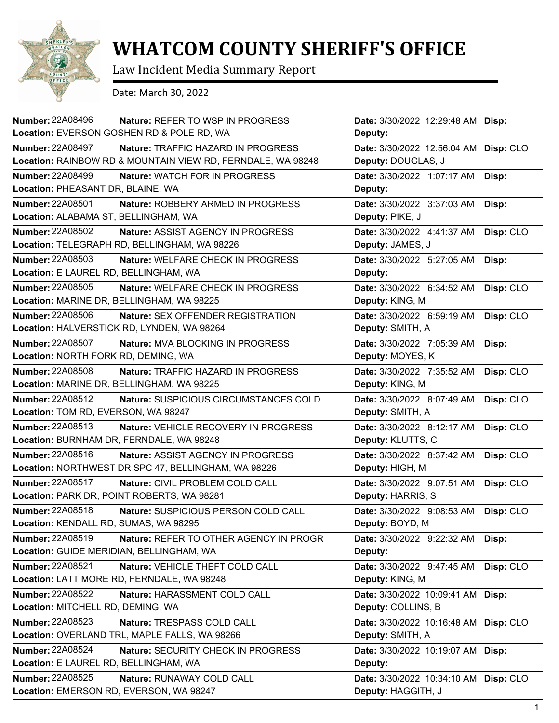

## **WHATCOM COUNTY SHERIFF'S OFFICE**

Law Incident Media Summary Report

Date: March 30, 2022

| <b>Number: 22A08496</b><br>Location: EVERSON GOSHEN RD & POLE RD, WA | <b>Nature: REFER TO WSP IN PROGRESS</b>                     | Date: 3/30/2022 12:29:48 AM Disp:<br>Deputy: |           |
|----------------------------------------------------------------------|-------------------------------------------------------------|----------------------------------------------|-----------|
| <b>Number: 22A08497</b>                                              | Nature: TRAFFIC HAZARD IN PROGRESS                          | Date: 3/30/2022 12:56:04 AM                  | Disp: CLO |
|                                                                      | Location: RAINBOW RD & MOUNTAIN VIEW RD, FERNDALE, WA 98248 | Deputy: DOUGLAS, J                           |           |
| <b>Number: 22A08499</b>                                              | Nature: WATCH FOR IN PROGRESS                               | Date: 3/30/2022 1:07:17 AM                   | Disp:     |
| Location: PHEASANT DR, BLAINE, WA                                    |                                                             | Deputy:                                      |           |
| <b>Number: 22A08501</b>                                              | Nature: ROBBERY ARMED IN PROGRESS                           | Date: 3/30/2022 3:37:03 AM                   | Disp:     |
| Location: ALABAMA ST, BELLINGHAM, WA                                 |                                                             | Deputy: PIKE, J                              |           |
| Number: 22A08502                                                     | Nature: ASSIST AGENCY IN PROGRESS                           | Date: 3/30/2022 4:41:37 AM                   | Disp: CLO |
| Location: TELEGRAPH RD, BELLINGHAM, WA 98226                         |                                                             | Deputy: JAMES, J                             |           |
| Number: 22A08503                                                     | Nature: WELFARE CHECK IN PROGRESS                           | Date: 3/30/2022 5:27:05 AM                   | Disp:     |
| Location: E LAUREL RD, BELLINGHAM, WA                                |                                                             | Deputy:                                      |           |
| <b>Number: 22A08505</b>                                              | <b>Nature: WELFARE CHECK IN PROGRESS</b>                    | Date: 3/30/2022 6:34:52 AM                   | Disp: CLO |
| Location: MARINE DR, BELLINGHAM, WA 98225                            |                                                             | Deputy: KING, M                              |           |
| <b>Number: 22A08506</b>                                              | Nature: SEX OFFENDER REGISTRATION                           | Date: 3/30/2022 6:59:19 AM                   | Disp: CLO |
| Location: HALVERSTICK RD, LYNDEN, WA 98264                           |                                                             | Deputy: SMITH, A                             |           |
| <b>Number: 22A08507</b>                                              | Nature: MVA BLOCKING IN PROGRESS                            | Date: 3/30/2022 7:05:39 AM                   | Disp:     |
| Location: NORTH FORK RD, DEMING, WA                                  |                                                             | Deputy: MOYES, K                             |           |
| <b>Number: 22A08508</b>                                              | <b>Nature: TRAFFIC HAZARD IN PROGRESS</b>                   | Date: 3/30/2022 7:35:52 AM                   | Disp: CLO |
| Location: MARINE DR, BELLINGHAM, WA 98225                            |                                                             | Deputy: KING, M                              |           |
| Number: 22A08512                                                     | Nature: SUSPICIOUS CIRCUMSTANCES COLD                       | Date: 3/30/2022 8:07:49 AM                   | Disp: CLO |
| Location: TOM RD, EVERSON, WA 98247                                  |                                                             | Deputy: SMITH, A                             |           |
| <b>Number: 22A08513</b>                                              | Nature: VEHICLE RECOVERY IN PROGRESS                        | Date: 3/30/2022 8:12:17 AM                   | Disp: CLO |
| Location: BURNHAM DR, FERNDALE, WA 98248                             |                                                             | Deputy: KLUTTS, C                            |           |
| Number: 22A08516                                                     | Nature: ASSIST AGENCY IN PROGRESS                           | Date: 3/30/2022 8:37:42 AM                   | Disp: CLO |
| Location: NORTHWEST DR SPC 47, BELLINGHAM, WA 98226                  |                                                             | Deputy: HIGH, M                              |           |
| Number: 22A08517                                                     | Nature: CIVIL PROBLEM COLD CALL                             | Date: 3/30/2022 9:07:51 AM                   | Disp: CLO |
| Location: PARK DR, POINT ROBERTS, WA 98281                           |                                                             | Deputy: HARRIS, S                            |           |
| Number: 22A08518                                                     | Nature: SUSPICIOUS PERSON COLD CALL                         | Date: 3/30/2022 9:08:53 AM                   | Disp: CLO |
| Location: KENDALL RD, SUMAS, WA 98295                                |                                                             | Deputy: BOYD, M                              |           |
| Number: 22A08519                                                     | Nature: REFER TO OTHER AGENCY IN PROGR                      | Date: 3/30/2022 9:22:32 AM                   | Disp:     |
| Location: GUIDE MERIDIAN, BELLINGHAM, WA                             |                                                             | Deputy:                                      |           |
| Number: 22A08521                                                     | Nature: VEHICLE THEFT COLD CALL                             | Date: 3/30/2022 9:47:45 AM                   | Disp: CLO |
| Location: LATTIMORE RD, FERNDALE, WA 98248                           |                                                             | Deputy: KING, M                              |           |
| <b>Number: 22A08522</b>                                              | Nature: HARASSMENT COLD CALL                                | Date: 3/30/2022 10:09:41 AM Disp:            |           |
| Location: MITCHELL RD, DEMING, WA                                    |                                                             | Deputy: COLLINS, B                           |           |
| Number: 22A08523                                                     | Nature: TRESPASS COLD CALL                                  | Date: 3/30/2022 10:16:48 AM                  | Disp: CLO |
| Location: OVERLAND TRL, MAPLE FALLS, WA 98266                        |                                                             | Deputy: SMITH, A                             |           |
| <b>Number: 22A08524</b>                                              | Nature: SECURITY CHECK IN PROGRESS                          | Date: 3/30/2022 10:19:07 AM                  | Disp:     |
| Location: E LAUREL RD, BELLINGHAM, WA                                |                                                             | Deputy:                                      |           |
| <b>Number: 22A08525</b>                                              | Nature: RUNAWAY COLD CALL                                   | Date: 3/30/2022 10:34:10 AM                  | Disp: CLO |
| Location: EMERSON RD, EVERSON, WA 98247                              |                                                             | Deputy: HAGGITH, J                           |           |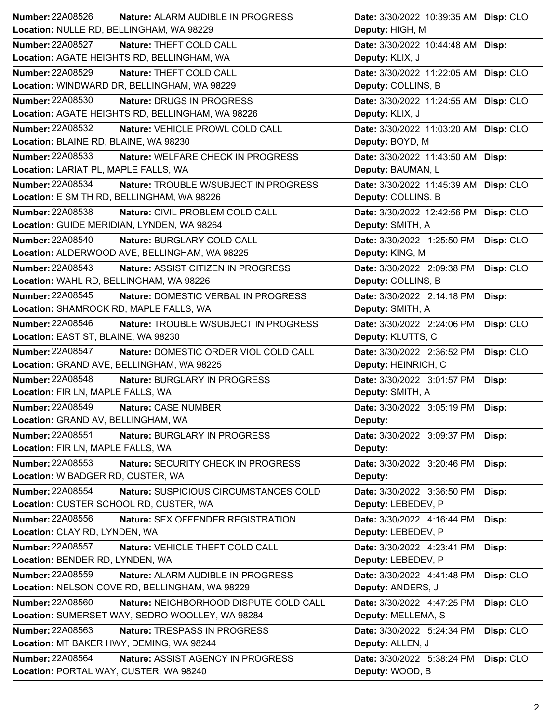| Number: 22A08526                                           | Nature: ALARM AUDIBLE IN PROGRESS                | Date: 3/30/2022 10:39:35 AM Disp: CLO         |           |
|------------------------------------------------------------|--------------------------------------------------|-----------------------------------------------|-----------|
| Location: NULLE RD, BELLINGHAM, WA 98229                   |                                                  | Deputy: HIGH, M                               |           |
| <b>Number: 22A08527</b>                                    | Nature: THEFT COLD CALL                          | Date: 3/30/2022 10:44:48 AM Disp:             |           |
|                                                            | Location: AGATE HEIGHTS RD, BELLINGHAM, WA       | Deputy: KLIX, J                               |           |
| Number: 22A08529                                           | Nature: THEFT COLD CALL                          | Date: 3/30/2022 11:22:05 AM Disp: CLO         |           |
|                                                            | Location: WINDWARD DR, BELLINGHAM, WA 98229      | Deputy: COLLINS, B                            |           |
| <b>Number: 22A08530</b>                                    | Nature: DRUGS IN PROGRESS                        | Date: 3/30/2022 11:24:55 AM Disp: CLO         |           |
|                                                            | Location: AGATE HEIGHTS RD, BELLINGHAM, WA 98226 | Deputy: KLIX, J                               |           |
| <b>Number: 22A08532</b>                                    | Nature: VEHICLE PROWL COLD CALL                  | Date: 3/30/2022 11:03:20 AM Disp: CLO         |           |
| Location: BLAINE RD, BLAINE, WA 98230                      |                                                  | Deputy: BOYD, M                               |           |
| <b>Number: 22A08533</b>                                    | Nature: WELFARE CHECK IN PROGRESS                | Date: 3/30/2022 11:43:50 AM Disp:             |           |
| Location: LARIAT PL, MAPLE FALLS, WA                       |                                                  | Deputy: BAUMAN, L                             |           |
| <b>Number: 22A08534</b>                                    | Nature: TROUBLE W/SUBJECT IN PROGRESS            | Date: 3/30/2022 11:45:39 AM Disp: CLO         |           |
|                                                            | Location: E SMITH RD, BELLINGHAM, WA 98226       | Deputy: COLLINS, B                            |           |
| Number: 22A08538                                           | Nature: CIVIL PROBLEM COLD CALL                  | Date: 3/30/2022 12:42:56 PM Disp: CLO         |           |
|                                                            | Location: GUIDE MERIDIAN, LYNDEN, WA 98264       | Deputy: SMITH, A                              |           |
| Number: 22A08540                                           | Nature: BURGLARY COLD CALL                       | Date: 3/30/2022 1:25:50 PM                    |           |
|                                                            | Location: ALDERWOOD AVE, BELLINGHAM, WA 98225    | Deputy: KING, M                               | Disp: CLO |
|                                                            |                                                  |                                               |           |
| Number: 22A08543                                           | Nature: ASSIST CITIZEN IN PROGRESS               | Date: 3/30/2022 2:09:38 PM                    | Disp: CLO |
| Location: WAHL RD, BELLINGHAM, WA 98226                    |                                                  | Deputy: COLLINS, B                            |           |
| Number: 22A08545                                           | Nature: DOMESTIC VERBAL IN PROGRESS              | Date: 3/30/2022 2:14:18 PM                    | Disp:     |
| Location: SHAMROCK RD, MAPLE FALLS, WA                     |                                                  | Deputy: SMITH, A                              |           |
| Number: 22A08546                                           | Nature: TROUBLE W/SUBJECT IN PROGRESS            | Date: 3/30/2022 2:24:06 PM                    | Disp: CLO |
| Location: EAST ST, BLAINE, WA 98230                        |                                                  | Deputy: KLUTTS, C                             |           |
|                                                            |                                                  |                                               |           |
| Number: 22A08547                                           | Nature: DOMESTIC ORDER VIOL COLD CALL            | Date: 3/30/2022 2:36:52 PM                    | Disp: CLO |
|                                                            | Location: GRAND AVE, BELLINGHAM, WA 98225        | Deputy: HEINRICH, C                           |           |
| Number: 22A08548                                           | Nature: BURGLARY IN PROGRESS                     | Date: 3/30/2022 3:01:57 PM                    | Disp:     |
| Location: FIR LN, MAPLE FALLS, WA                          |                                                  | Deputy: SMITH, A                              |           |
| <b>Number: 22A08549</b>                                    | Nature: CASE NUMBER                              | Date: 3/30/2022 3:05:19 PM                    | Disp:     |
| Location: GRAND AV, BELLINGHAM, WA                         |                                                  | Deputy:                                       |           |
| Number: 22A08551                                           | Nature: BURGLARY IN PROGRESS                     | Date: 3/30/2022 3:09:37 PM                    | Disp:     |
| Location: FIR LN, MAPLE FALLS, WA                          |                                                  | Deputy:                                       |           |
| Number: 22A08553                                           | Nature: SECURITY CHECK IN PROGRESS               | Date: 3/30/2022 3:20:46 PM                    | Disp:     |
| Location: W BADGER RD, CUSTER, WA                          |                                                  | Deputy:                                       |           |
| <b>Number: 22A08554</b>                                    |                                                  |                                               |           |
| Location: CUSTER SCHOOL RD, CUSTER, WA                     | Nature: SUSPICIOUS CIRCUMSTANCES COLD            | Date: 3/30/2022 3:36:50 PM                    | Disp:     |
|                                                            |                                                  | Deputy: LEBEDEV, P                            |           |
| Number: 22A08556                                           | Nature: SEX OFFENDER REGISTRATION                | Date: 3/30/2022 4:16:44 PM                    | Disp:     |
| Location: CLAY RD, LYNDEN, WA                              |                                                  | Deputy: LEBEDEV, P                            |           |
| Number: 22A08557                                           | Nature: VEHICLE THEFT COLD CALL                  | Date: 3/30/2022 4:23:41 PM                    | Disp:     |
| Location: BENDER RD, LYNDEN, WA                            |                                                  | Deputy: LEBEDEV, P                            |           |
| Number: 22A08559                                           | Nature: ALARM AUDIBLE IN PROGRESS                | Date: 3/30/2022 4:41:48 PM                    | Disp: CLO |
|                                                            | Location: NELSON COVE RD, BELLINGHAM, WA 98229   | Deputy: ANDERS, J                             |           |
| Number: 22A08560                                           | Nature: NEIGHBORHOOD DISPUTE COLD CALL           | Date: 3/30/2022 4:47:25 PM                    | Disp: CLO |
|                                                            | Location: SUMERSET WAY, SEDRO WOOLLEY, WA 98284  | Deputy: MELLEMA, S                            |           |
| <b>Number: 22A08563</b>                                    | Nature: TRESPASS IN PROGRESS                     | Date: 3/30/2022 5:24:34 PM                    | Disp: CLO |
| Location: MT BAKER HWY, DEMING, WA 98244                   |                                                  | Deputy: ALLEN, J                              |           |
| Number: 22A08564<br>Location: PORTAL WAY, CUSTER, WA 98240 | Nature: ASSIST AGENCY IN PROGRESS                | Date: 3/30/2022 5:38:24 PM<br>Deputy: WOOD, B | Disp: CLO |